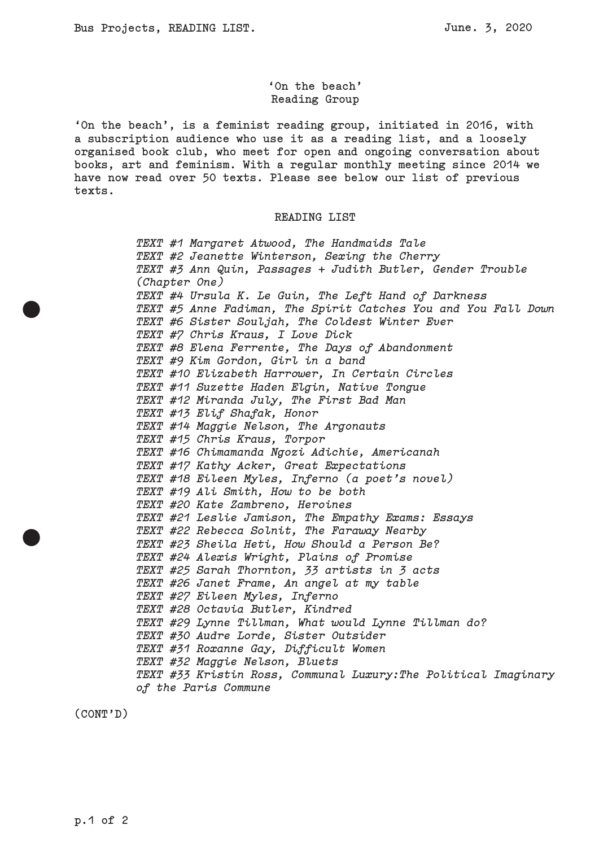## **'On the beach' Reading Group**

**'On the beach', is a feminist reading group, initiated in 2016, with a subscription audience who use it as a reading list, and a loosely organised book club, who meet for open and ongoing conversation about books, art and feminism. With a regular monthly meeting since 2014 we have now read over 50 texts. Please see below our list of previous texts.** 

## **READING LIST**

*TEXT #1 Margaret Atwood, The Handmaids Tale TEXT #2 Jeanette Winterson, Sexing the Cherry TEXT #3 Ann Quin, Passages + Judith Butler, Gender Trouble (Chapter One) TEXT #4 Ursula K. Le Guin, The Left Hand of Darkness TEXT #5 Anne Fadiman, The Spirit Catches You and You Fall Down TEXT #6 Sister Souljah, The Coldest Winter Ever TEXT #7 Chris Kraus, I Love Dick TEXT #8 Elena Ferrente, The Days of Abandonment TEXT #9 Kim Gordon, Girl in a band TEXT #10 Elizabeth Harrower, In Certain Circles TEXT #11 Suzette Haden Elgin, Native Tongue TEXT #12 Miranda July, The First Bad Man TEXT #13 Elif Shafak, Honor TEXT #14 Maggie Nelson, The Argonauts TEXT #15 Chris Kraus, Torpor TEXT #16 Chimamanda Ngozi Adichie, Americanah TEXT #17 Kathy Acker, Great Expectations TEXT #18 Eileen Myles, Inferno (a poet's novel) TEXT #19 Ali Smith, How to be both TEXT #20 Kate Zambreno, Heroines TEXT #21 Leslie Jamison, The Empathy Exams: Essays TEXT #22 Rebecca Solnit, The Faraway Nearby TEXT #23 Sheila Heti, How Should a Person Be? TEXT #24 Alexis Wright, Plains of Promise TEXT #25 Sarah Thornton, 33 artists in 3 acts TEXT #26 Janet Frame, An angel at my table TEXT #27 Eileen Myles, Inferno TEXT #28 Octavia Butler, Kindred TEXT #29 Lynne Tillman, What would Lynne Tillman do? TEXT #30 Audre Lorde, Sister Outsider TEXT #31 Roxanne Gay, Difficult Women TEXT #32 Maggie Nelson, Bluets TEXT #33 Kristin Ross, Communal Luxury:The Political Imaginary of the Paris Commune*

**(CONT'D)**